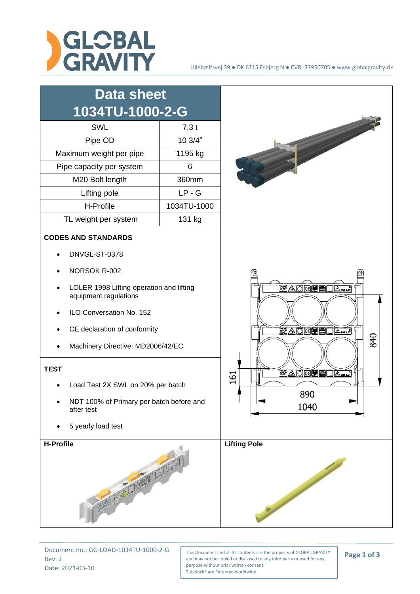



Document no.: GG-LOAD-1034TU-1000-2-G Rev: 2 Date: 2021-03-10

This Document and all its contents are the property of GLOBAL GRAVITY and may not be copied or disclosed to any third party or used for any purpose without prior written consent. Tubelock® are Patented worldwide.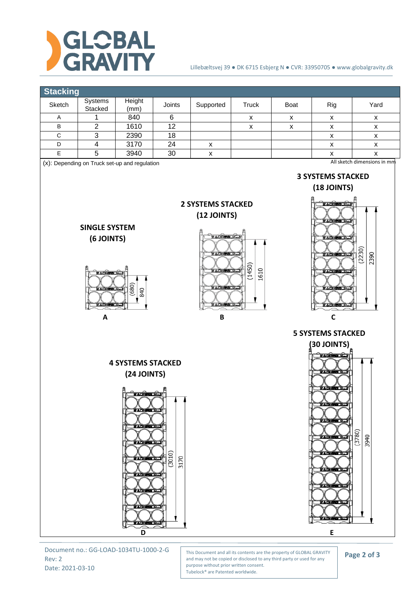

## Lillebæltsvej 39 ● DK 6715 Esbjerg N ● CVR: 33950705 ● www.globalgravity.dk



Document no.: GG-LOAD-1034TU-1000-2-G Rev: 2 Date: 2021-03-10

This Document and all its contents are the property of GLOBAL GRAVITY and may not be copied or disclosed to any third party or used for any purpose without prior written consent. Tubelock® are Patented worldwide.

**Page 2 of 3**